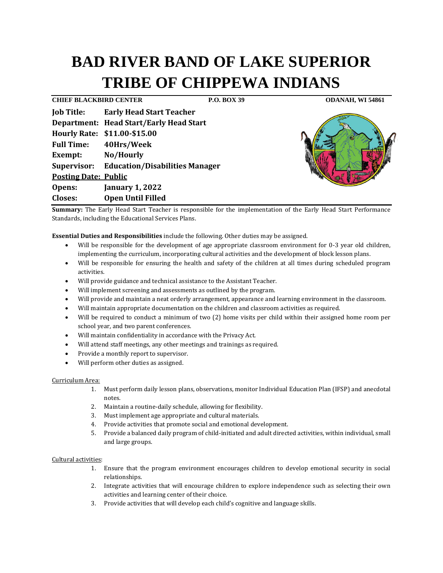# **BAD RIVER BAND OF LAKE SUPERIOR TRIBE OF CHIPPEWA INDIANS**

**CHIEF BLACKBIRD CENTER P.O. BOX 39 ODANAH, WI 54861 Job Title: Early Head Start Teacher Department: Head Start/Early Head Start Hourly Rate: \$11.00-\$15.00 Full Time: 40Hrs/Week Exempt: No/Hourly Supervisor: Education/Disabilities Manager Posting Date: Public Opens: January 1, 2022 Closes: Open Until Filled** 



**Summary:** The Early Head Start Teacher is responsible for the implementation of the Early Head Start Performance Standards, including the Educational Services Plans.

**Essential Duties and Responsibilities** include the following. Other duties may be assigned.

- Will be responsible for the development of age appropriate classroom environment for 0-3 year old children, implementing the curriculum, incorporating cultural activities and the development of block lesson plans.
- Will be responsible for ensuring the health and safety of the children at all times during scheduled program activities.
- Will provide guidance and technical assistance to the Assistant Teacher.
- Will implement screening and assessments as outlined by the program.
- Will provide and maintain a neat orderly arrangement, appearance and learning environment in the classroom.
- Will maintain appropriate documentation on the children and classroom activities as required.
- Will be required to conduct a minimum of two (2) home visits per child within their assigned home room per school year, and two parent conferences.
- Will maintain confidentiality in accordance with the Privacy Act.
- Will attend staff meetings, any other meetings and trainings as required.
- Provide a monthly report to supervisor.
- Will perform other duties as assigned.

## Curriculum Area:

- 1. Must perform daily lesson plans, observations, monitor Individual Education Plan (IFSP) and anecdotal notes.
- 2. Maintain a routine-daily schedule, allowing for flexibility.
- 3. Must implement age appropriate and cultural materials.
- 4. Provide activities that promote social and emotional development.
- 5. Provide a balanced daily program of child-initiated and adult directed activities, within individual, small and large groups.

## Cultural activities:

- 1. Ensure that the program environment encourages children to develop emotional security in social relationships.
- 2. Integrate activities that will encourage children to explore independence such as selecting their own activities and learning center of their choice.
- 3. Provide activities that will develop each child's cognitive and language skills.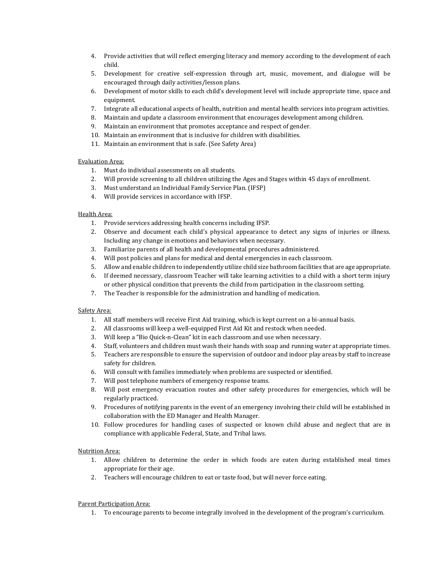- 4. Provide activities that will reflect emerging literacy and memory according to the development of each child.
- 5. Development for creative self-expression through art, music, movement, and dialogue will be encouraged through daily activities/lesson plans.
- 6. Development of motor skills to each child's development level will include appropriate time, space and equipment.
- 7. Integrate all educational aspects of health, nutrition and mental health services into program activities.
- 8. Maintain and update a classroom environment that encourages development among children.
- 9. Maintain an environment that promotes acceptance and respect of gender.
- 10. Maintain an environment that is inclusive for children with disabilities.
- 11. Maintain an environment that is safe. (See Safety Area)

## Evaluation Area:

- 1. Must do individual assessments on all students.
- 2. Will provide screening to all children utilizing the Ages and Stages within 45 days of enrollment.
- 3. Must understand an Individual Family Service Plan. (IFSP)
- 4. Will provide services in accordance with IFSP.

## Health Area:

- 1. Provide services addressing health concerns including IFSP.
- 2. Observe and document each child's physical appearance to detect any signs of injuries or illness. Including any change in emotions and behaviors when necessary.
- 3. Familiarize parents of all health and developmental procedures administered.
- 4. Will post policies and plans for medical and dental emergencies in each classroom.
- 5. Allow and enable children to independently utilize child size bathroom facilities that are age appropriate.
- 6. If deemed necessary, classroom Teacher will take learning activities to a child with a short term injury or other physical condition that prevents the child from participation in the classroom setting.
- 7. The Teacher is responsible for the administration and handling of medication.

## Safety Area:

- 1. All staff members will receive First Aid training, which is kept current on a bi-annual basis.
- 2. All classrooms will keep a well-equipped First Aid Kit and restock when needed.
- 3. Will keep a "Bio Quick-n-Clean" kit in each classroom and use when necessary.
- 4. Staff, volunteers and children must wash their hands with soap and running water at appropriate times.
- 5. Teachers are responsible to ensure the supervision of outdoor and indoor play areas by staff to increase safety for children.
- 6. Will consult with families immediately when problems are suspected or identified.
- 7. Will post telephone numbers of emergency response teams.
- 8. Will post emergency evacuation routes and other safety procedures for emergencies, which will be regularly practiced.
- 9. Procedures of notifying parents in the event of an emergency involving their child will be established in collaboration with the ED Manager and Health Manager.
- 10. Follow procedures for handling cases of suspected or known child abuse and neglect that are in compliance with applicable Federal, State, and Tribal laws.

## Nutrition Area:

- 1. Allow children to determine the order in which foods are eaten during established meal times appropriate for their age.
- 2. Teachers will encourage children to eat or taste food, but will never force eating.

## Parent Participation Area:

1. To encourage parents to become integrally involved in the development of the program's curriculum.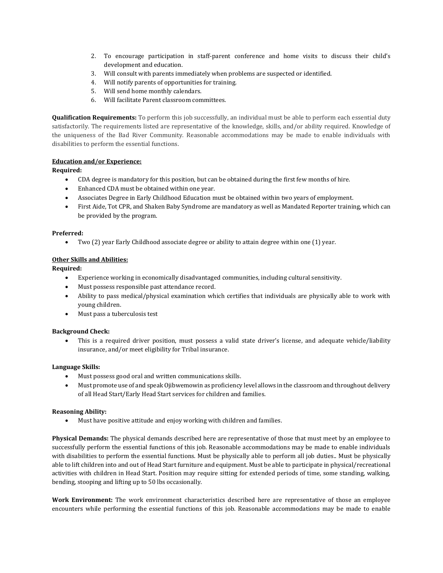- 2. To encourage participation in staff-parent conference and home visits to discuss their child's development and education.
- 3. Will consult with parents immediately when problems are suspected or identified.
- 4. Will notify parents of opportunities for training.
- 5. Will send home monthly calendars.
- 6. Will facilitate Parent classroom committees.

**Qualification Requirements:** To perform this job successfully, an individual must be able to perform each essential duty satisfactorily. The requirements listed are representative of the knowledge, skills, and/or ability required. Knowledge of the uniqueness of the Bad River Community. Reasonable accommodations may be made to enable individuals with disabilities to perform the essential functions.

## **Education and/or Experience:**

## **Required:**

- CDA degree is mandatory for this position, but can be obtained during the first few months of hire.
- Enhanced CDA must be obtained within one year.
- Associates Degree in Early Childhood Education must be obtained within two years of employment.
- First Aide, Tot CPR, and Shaken Baby Syndrome are mandatory as well as Mandated Reporter training, which can be provided by the program.

## **Preferred:**

• Two (2) year Early Childhood associate degree or ability to attain degree within one (1) year.

## **Other Skills and Abilities:**

## **Required:**

- Experience working in economically disadvantaged communities, including cultural sensitivity.
- Must possess responsible past attendance record.
- Ability to pass medical/physical examination which certifies that individuals are physically able to work with young children.
- Must pass a tuberculosis test

## **Background Check:**

• This is a required driver position, must possess a valid state driver's license, and adequate vehicle/liability insurance, and/or meet eligibility for Tribal insurance.

## **Language Skills:**

- Must possess good oral and written communications skills.
- Must promote use of and speak Ojibwemowin as proficiency level allows in the classroom and throughout delivery of all Head Start/Early Head Start services for children and families.

## **Reasoning Ability:**

• Must have positive attitude and enjoy working with children and families.

**Physical Demands:** The physical demands described here are representative of those that must meet by an employee to successfully perform the essential functions of this job. Reasonable accommodations may be made to enable individuals with disabilities to perform the essential functions. Must be physically able to perform all job duties.. Must be physically able to lift children into and out of Head Start furniture and equipment. Must be able to participate in physical/recreational activities with children in Head Start. Position may require sitting for extended periods of time, some standing, walking, bending, stooping and lifting up to 50 lbs occasionally.

**Work Environment:** The work environment characteristics described here are representative of those an employee encounters while performing the essential functions of this job. Reasonable accommodations may be made to enable